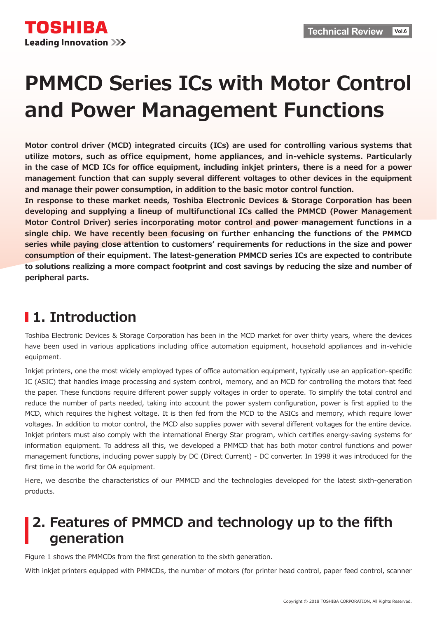

# **PMMCD Series ICs with Motor Control And Power Management Functions**

**Motor control driver (MCD) integrated circuits (ICs) are used for controlling various systems that** utilize motors, such as office equipment, home appliances, and in-vehicle systems. Particularly in the case of MCD ICs for office equipment, including inkjet printers, there is a need for a power management function that can supply several different voltages to other devices in the equipment and manage their power consumption, in addition to the basic motor control function.

In response to these market needs, Toshiba Electronic Devices & Storage Corporation has been developing and supplying a lineup of multifunctional ICs called the PMMCD (Power Management **Motor Control Driver) series incorporating motor control and power management functions in a** single chip. We have recently been focusing on further enhancing the functions of the PMMCD series while paying close attention to customers' requirements for reductions in the size and power **consumption of their equipment. The latest-generation PMMCD series ICs are expected to contribute** to solutions realizing a more compact footprint and cost savings by reducing the size and number of **.parts peripheral**

# **I** 1. Introduction

Toshiba Electronic Devices & Storage Corporation has been in the MCD market for over thirty years, where the devices have been used in various applications including office automation equipment, household appliances and in-vehicle equipment.

Inkjet printers, one the most widely employed types of office automation equipment, typically use an application-specific IC (ASIC) that handles image processing and system control, memory, and an MCD for controlling the motors that feed the paper. These functions require different power supply voltages in order to operate. To simplify the total control and reduce the number of parts needed, taking into account the power system configuration, power is first applied to the MCD, which requires the highest voltage. It is then fed from the MCD to the ASICs and memory, which require lower voltages. In addition to motor control, the MCD also supplies power with several different voltages for the entire device. Inkjet printers must also comply with the international Energy Star program, which certifies energy-saving systems for information equipment. To address all this, we developed a PMMCD that has both motor control functions and power management functions, including power supply by DC (Direct Current) - DC converter. In 1998 it was introduced for the first time in the world for OA equipment.

Here, we describe the characteristics of our PMMCD and the technologies developed for the latest sixth-generation products.

## **2. Features of PMMCD and technology up to the fifth generation**

Figure 1 shows the PMMCDs from the first generation to the sixth generation.

With inkjet printers equipped with PMMCDs, the number of motors (for printer head control, paper feed control, scanner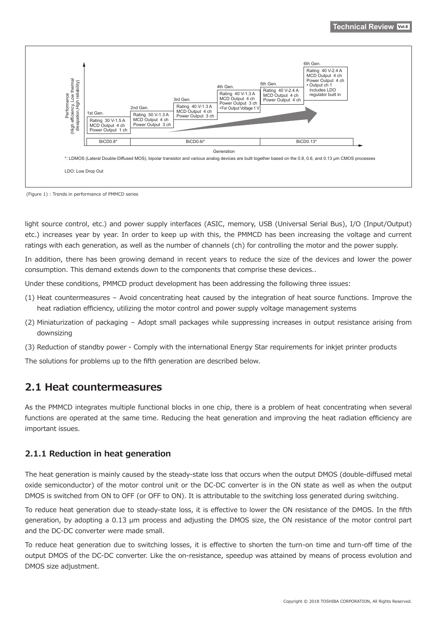

(Figure 1) : Trends in performance of PMMCD series

light source control, etc.) and power supply interfaces (ASIC, memory, USB (Universal Serial Bus), I/O (Input/Output) etc.) increases year by year. In order to keep up with this, the PMMCD has been increasing the voltage and current ratings with each generation, as well as the number of channels (ch) for controlling the motor and the power supply.

In addition, there has been growing demand in recent years to reduce the size of the devices and lower the power consumption. This demand extends down to the components that comprise these devices..

Under these conditions, PMMCD product development has been addressing the following three issues:

- $(1)$  Heat countermeasures Avoid concentrating heat caused by the integration of heat source functions. Improve the heat radiation efficiency, utilizing the motor control and power supply voltage management systems
- $f(2)$  Miniaturization of packaging Adopt small packages while suppressing increases in output resistance arising from downsizing
- (3) Reduction of standby power Comply with the international Energy Star requirements for inkjet printer products

The solutions for problems up to the fifth generation are described below.

### **2.1 Heat countermeasures**

As the PMMCD integrates multiple functional blocks in one chip, there is a problem of heat concentrating when several functions are operated at the same time. Reducing the heat generation and improving the heat radiation efficiency are important issues.

#### **2.1.1 Reduction in heat generation**

The heat generation is mainly caused by the steady-state loss that occurs when the output DMOS (double-diffused metal oxide semiconductor) of the motor control unit or the DC-DC converter is in the ON state as well as when the output DMOS is switched from ON to OFF (or OFF to ON). It is attributable to the switching loss generated during switching.

To reduce heat generation due to steady-state loss, it is effective to lower the ON resistance of the DMOS. In the fifth qeneration, by adopting a 0.13 μm process and adjusting the DMOS size, the ON resistance of the motor control part and the DC-DC converter were made small.

To reduce heat generation due to switching losses, it is effective to shorten the turn-on time and turn-off time of the output DMOS of the DC-DC converter. Like the on-resistance, speedup was attained by means of process evolution and DMOS size adjustment.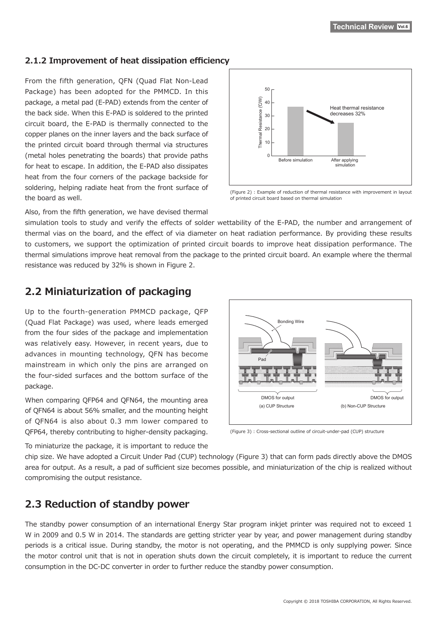#### **2.1.2 Improvement of heat dissipation efficiency**

From the fifth generation, QFN (Quad Flat Non-Lead Package) has been adopted for the PMMCD. In this package, a metal pad (E-PAD) extends from the center of the back side. When this E-PAD is soldered to the printed circuit board, the E-PAD is thermally connected to the copper planes on the inner layers and the back surface of the printed circuit board through thermal via structures (metal holes penetrating the boards) that provide paths for heat to escape. In addition, the E-PAD also dissipates heat from the four corners of the package backside for soldering, helping radiate heat from the front surface of the board as well.



(Figure 2) : Example of reduction of thermal resistance with improvement in layout of printed circuit board based on thermal simulation

Also, from the fifth generation, we have devised thermal

simulation tools to study and verify the effects of solder wettability of the E-PAD, the number and arrangement of thermal vias on the board, and the effect of via diameter on heat radiation performance. By providing these results to customers, we support the optimization of printed circuit boards to improve heat dissipation performance. The thermal simulations improve heat removal from the package to the printed circuit board. An example where the thermal resistance was reduced by 32% is shown in Figure 2.

### **2.2 Miniaturization of packaging**

Up to the fourth-generation PMMCD package, QFP (Quad Flat Package) was used, where leads emerged from the four sides of the package and implementation was relatively easy. However, in recent years, due to advances in mounting technology, QFN has become mainstream in which only the pins are arranged on the four-sided surfaces and the bottom surface of the .package

When comparing OFP64 and OFN64, the mounting area of QFN64 is about 56% smaller, and the mounting height of QFN64 is also about 0.3 mm lower compared to QFP64, thereby contributing to higher-density packaging.



 $s(t)$  (Figure 3) : Cross-sectional outline of circuit-under-pad (CUP) structure

To miniaturize the package, it is important to reduce the

chip size. We have adopted a Circuit Under Pad (CUP) technology (Figure 3) that can form pads directly above the DMOS area for output. As a result, a pad of sufficient size becomes possible, and miniaturization of the chip is realized without compromising the output resistance.

### **2.3 Reduction of standby power**

The standby power consumption of an international Energy Star program inkjet printer was required not to exceed 1 W in 2009 and 0.5 W in 2014. The standards are getting stricter year by year, and power management during standby periods is a critical issue. During standby, the motor is not operating, and the PMMCD is only supplying power. Since the motor control unit that is not in operation shuts down the circuit completely, it is important to reduce the current consumption in the DC-DC converter in order to further reduce the standby power consumption.